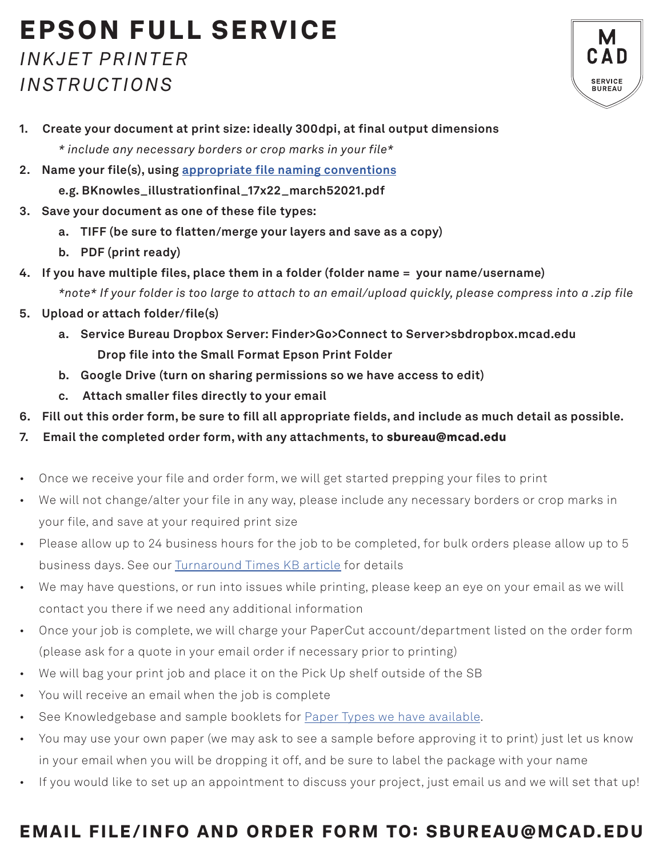## EPSON FULL SERVICE *INKJET PRINTER*

## *INSTRUCTIONS*



- **1. Create your document at print size: ideally 300dpi, at final output dimensions** *\* include any necessary borders or crop marks in your file\**
- **2. Name your file(s), using appropriate file naming conventions**
	- **e.g. BKnowles\_illustrationfinal\_17x22\_march52021.pdf**
- **3. Save your document as one of these file types:** 
	- **a. TIFF (be sure to flatten/merge your layers and save as a copy)**
	- **b. PDF (print ready)**
- **4. If you have multiple files, place them in a folder (folder name = your name/username)** *\*note\* If your folder is too large to attach to an email/upload quickly, please compress into a .zip file*
- **5. Upload or attach folder/file(s)** 
	- **a. Service Bureau Dropbox Server: Finder>Go>Connect to Server>sbdropbox.mcad.edu Drop file into the Small Format Epson Print Folder**
	- **b. Google Drive (turn on sharing permissions so we have access to edit)**
	- **c. Attach smaller files directly to your email**
- **6. Fill out this order form, be sure to fill all appropriate fields, and include as much detail as possible.**
- **7. Email the completed order form, with any attachments, to** sbureau@mcad.edu
- Once we receive your file and order form, we will get started prepping your files to print
- We will not change/alter your file in any way, please include any necessary borders or crop marks in your file, and save at your required print size
- Please allow up to 24 business hours for the job to be completed, for bulk orders please allow up to 5 business days. See our Turnaround Times KB article for details
- We may have questions, or run into issues while printing, please keep an eye on your email as we will contact you there if we need any additional information
- Once your job is complete, we will charge your PaperCut account/department listed on the order form (please ask for a quote in your email order if necessary prior to printing)
- We will bag your print job and place it on the Pick Up shelf outside of the SB
- You will receive an email when the job is complete
- See Knowledgebase and sample booklets for Paper Types we have available.
- You may use your own paper (we may ask to see a sample before approving it to print) just let us know in your email when you will be dropping it off, and be sure to label the package with your name
- If you would like to set up an appointment to discuss your project, just email us and we will set that up!

## EMAIL FILE/INFO AND ORDER FORM TO: SBUREAU@MCAD.EDU